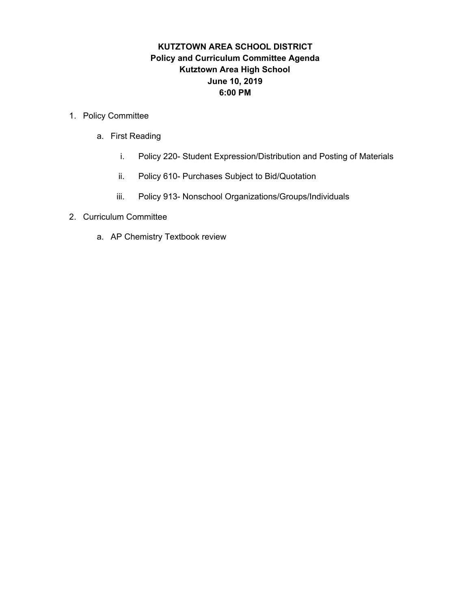#### **KUTZTOWN AREA SCHOOL DISTRICT Policy and Curriculum Committee Agenda Kutztown Area High School June 10, 2019 6:00 PM**

#### 1. Policy Committee

- a. First Reading
	- i. Policy 220- Student Expression/Distribution and Posting of Materials
	- ii. Policy 610- Purchases Subject to Bid/Quotation
	- iii. Policy 913- Nonschool Organizations/Groups/Individuals
- 2. Curriculum Committee
	- a. AP Chemistry Textbook review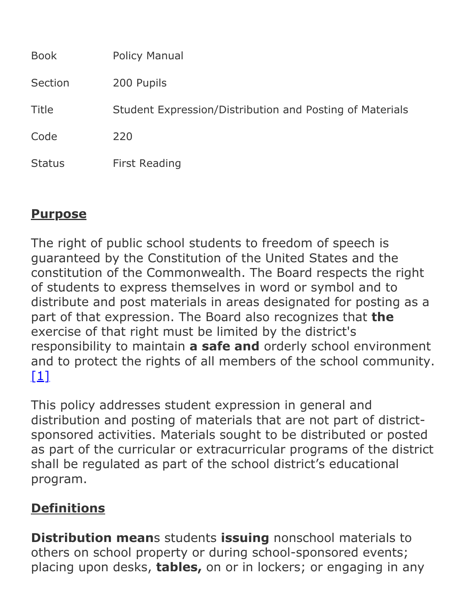| <b>Book</b>   | <b>Policy Manual</b>                                     |
|---------------|----------------------------------------------------------|
| Section       | 200 Pupils                                               |
| <b>Title</b>  | Student Expression/Distribution and Posting of Materials |
| Code          | 220                                                      |
| <b>Status</b> | <b>First Reading</b>                                     |

## **Purpose**

The right of public school students to freedom of speech is guaranteed by the Constitution of the United States and the constitution of the Commonwealth. The Board respects the right of students to express themselves in word or symbol and to distribute and post materials in areas designated for posting as a part of that expression. The Board also recognizes that **the** exercise of that right must be limited by the district's responsibility to maintain **a safe and** orderly school environment and to protect the rights of all members of the school community.  $[1]$ 

This policy addresses student expression in general and distribution and posting of materials that are not part of districtsponsored activities. Materials sought to be distributed or posted as part of the curricular or extracurricular programs of the district shall be regulated as part of the school district's educational program.

## **Definitions**

**Distribution means students issuing nonschool materials to** others on school property or during school-sponsored events; placing upon desks, **tables,** on or in lockers; or engaging in any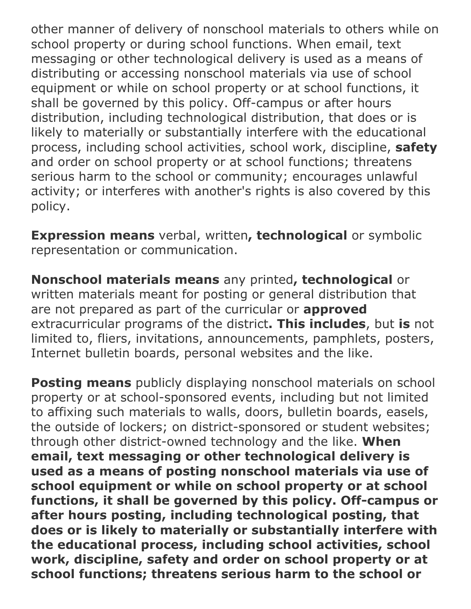other manner of delivery of nonschool materials to others while on school property or during school functions. When email, text messaging or other technological delivery is used as a means of distributing or accessing nonschool materials via use of school equipment or while on school property or at school functions, it shall be governed by this policy. Off-campus or after hours distribution, including technological distribution, that does or is likely to materially or substantially interfere with the educational process, including school activities, school work, discipline, **safety** and order on school property or at school functions; threatens serious harm to the school or community; encourages unlawful activity; or interferes with another's rights is also covered by this policy.

**Expression means** verbal, written**, technological** or symbolic representation or communication.

**Nonschool materials means** any printed**, technological** or written materials meant for posting or general distribution that are not prepared as part of the curricular or **approved** extracurricular programs of the district**. This includes**, but **is** not limited to, fliers, invitations, announcements, pamphlets, posters, Internet bulletin boards, personal websites and the like.

**Posting means** publicly displaying nonschool materials on school property or at school-sponsored events, including but not limited to affixing such materials to walls, doors, bulletin boards, easels, the outside of lockers; on district-sponsored or student websites; through other district-owned technology and the like. **When email, text messaging or other technological delivery is used as a means of posting nonschool materials via use of school equipment or while on school property or at school** functions, it shall be governed by this policy. Off-campus or **after hours posting, including technological posting, that does or is likely to materially or substantially interfere with the educational process, including school activities, school work, discipline, safety and order on school property or at school functions; threatens serious harm to the school or**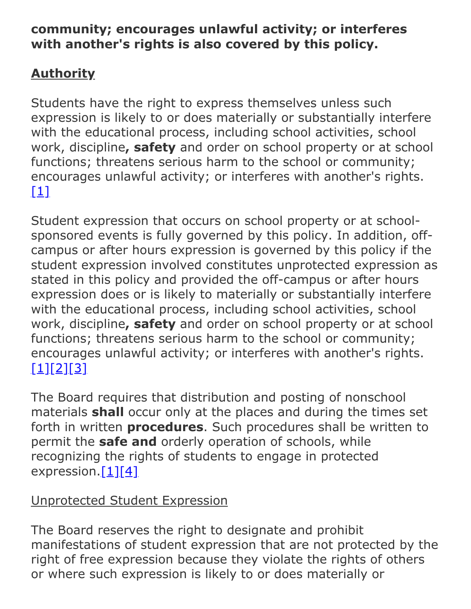#### **community; encourages unlawful activity; or interferes with another's rights is also covered by this policy.**

# **Authority**

Students have the right to express themselves unless such expression is likely to or does materially or substantially interfere with the educational process, including school activities, school work, discipline**, safety** and order on school property or at school functions; threatens serious harm to the school or community; encourages unlawful activity; or interferes with another's rights. [\[1\]](http://www.pacode.com/secure/data/022/chapter12/s12.9.html)

Student expression that occurs on school property or at schoolsponsored events is fully governed by this policy. In addition, offcampus or after hours expression is governed by this policy if the student expression involved constitutes unprotected expression as stated in this policy and provided the off-campus or after hours expression does or is likely to materially or substantially interfere with the educational process, including school activities, school work, discipline**, safety** and order on school property or at school functions; threatens serious harm to the school or community; encourages unlawful activity; or interferes with another's rights. [\[1\]](http://www.pacode.com/secure/data/022/chapter12/s12.9.html)[\[2\]](http://www.legis.state.pa.us/cfdocs/legis/LI/uconsCheck.cfm?txtType=HTM&yr=1949&sessInd=0&smthLwInd=0&act=14&chpt=5&sctn=11&subsctn=0)[\[3\]](http://www.pacode.com/secure/data/022/chapter12/s12.2.html)

The Board requires that distribution and posting of nonschool materials **shall** occur only at the places and during the times set forth in written **procedures**. Such procedures shall be written to permit the **safe and** orderly operation of schools, while recognizing the rights of students to engage in protected expression. $[1][4]$  $[1][4]$ 

## Unprotected Student Expression

The Board reserves the right to designate and prohibit manifestations of student expression that are not protected by the right of free expression because they violate the rights of others or where such expression is likely to or does materially or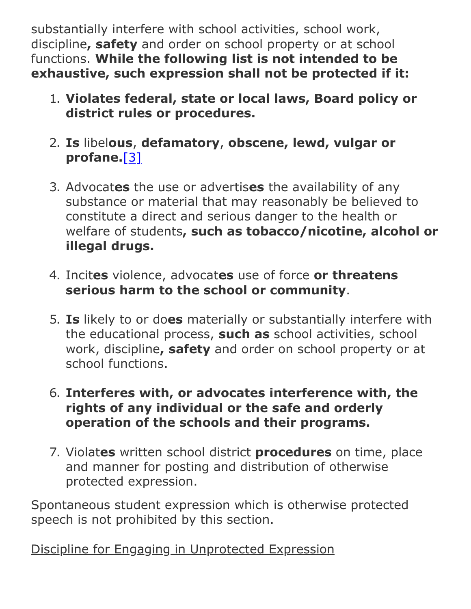substantially interfere with school activities, school work, discipline**, safety** and order on school property or at school functions. **While the following list is not intended to be exhaustive, such expression shall not be protected if it:**

- 1. **Violates federal, state or local laws, Board policy or district rules or procedures.**
- 2. **Is** libel**ous**, **defamatory**, **obscene, lewd, vulgar or profane.**[\[3\]](http://www.pacode.com/secure/data/022/chapter12/s12.2.html)
- 3. Advocat**es** the use or advertis**es** the availability of any substance or material that may reasonably be believed to constitute a direct and serious danger to the health or welfare of students**, such as tobacco/nicotine, alcohol or illegal drugs.**
- 4. Incit**es** violence, advocat**es** use of force **or threatens serious harm to the school or community**.
- 5. **Is** likely to or do**es** materially or substantially interfere with the educational process, **such as** school activities, school work, discipline**, safety** and order on school property or at school functions.
- 6. **Interferes with, or advocates interference with, the rights of any individual or the safe and orderly operation of the schools and their programs.**
- 7. Violat**es** written school district **procedures** on time, place and manner for posting and distribution of otherwise protected expression.

Spontaneous student expression which is otherwise protected speech is not prohibited by this section.

Discipline for Engaging in Unprotected Expression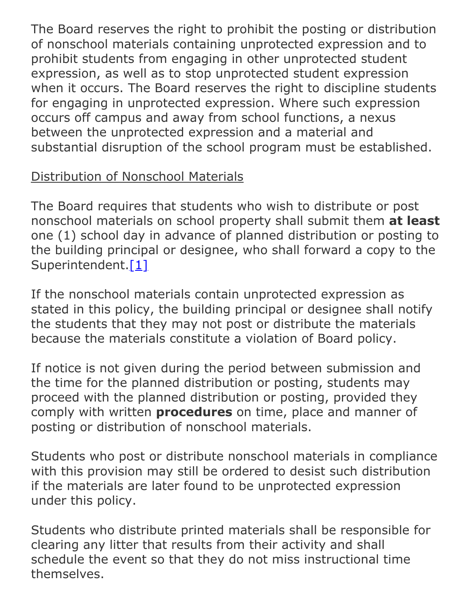The Board reserves the right to prohibit the posting or distribution of nonschool materials containing unprotected expression and to prohibit students from engaging in other unprotected student expression, as well as to stop unprotected student expression when it occurs. The Board reserves the right to discipline students for engaging in unprotected expression. Where such expression occurs off campus and away from school functions, a nexus between the unprotected expression and a material and substantial disruption of the school program must be established.

## Distribution of Nonschool Materials

The Board requires that students who wish to distribute or post nonschool materials on school property shall submit them **at least** one (1) school day in advance of planned distribution or posting to the building principal or designee, who shall forward a copy to the Superintendent[.\[1\]](http://www.pacode.com/secure/data/022/chapter12/s12.9.html)

If the nonschool materials contain unprotected expression as stated in this policy, the building principal or designee shall notify the students that they may not post or distribute the materials because the materials constitute a violation of Board policy.

If notice is not given during the period between submission and the time for the planned distribution or posting, students may proceed with the planned distribution or posting, provided they comply with written **procedures** on time, place and manner of posting or distribution of nonschool materials.

Students who post or distribute nonschool materials in compliance with this provision may still be ordered to desist such distribution if the materials are later found to be unprotected expression under this policy.

Students who distribute printed materials shall be responsible for clearing any litter that results from their activity and shall schedule the event so that they do not miss instructional time themselves.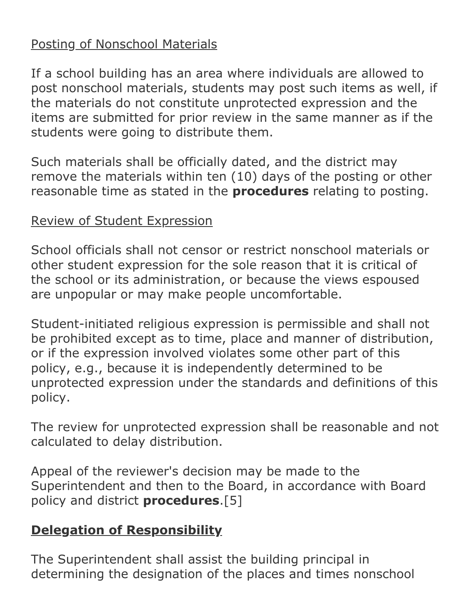### Posting of Nonschool Materials

If a school building has an area where individuals are allowed to post nonschool materials, students may post such items as well, if the materials do not constitute unprotected expression and the items are submitted for prior review in the same manner as if the students were going to distribute them.

Such materials shall be officially dated, and the district may remove the materials within ten (10) days of the posting or other reasonable time as stated in the **procedures** relating to posting.

## Review of Student Expression

School officials shall not censor or restrict nonschool materials or other student expression for the sole reason that it is critical of the school or its administration, or because the views espoused are unpopular or may make people uncomfortable.

Student-initiated religious expression is permissible and shall not be prohibited except as to time, place and manner of distribution, or if the expression involved violates some other part of this policy, e.g., because it is independently determined to be unprotected expression under the standards and definitions of this policy.

The review for unprotected expression shall be reasonable and not calculated to delay distribution.

Appeal of the reviewer's decision may be made to the Superintendent and then to the Board, in accordance with Board policy and district **procedures**.[5]

# **Delegation of Responsibility**

The Superintendent shall assist the building principal in determining the designation of the places and times nonschool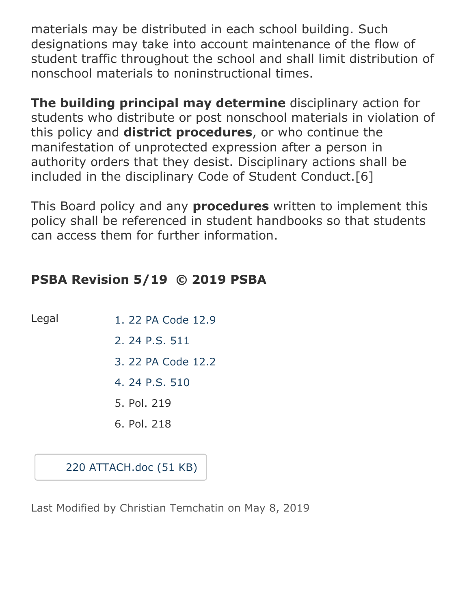materials may be distributed in each school building. Such designations may take into account maintenance of the flow of student traffic throughout the school and shall limit distribution of nonschool materials to noninstructional times.

**The building principal may determine** disciplinary action for students who distribute or post nonschool materials in violation of this policy and **district procedures**, or who continue the manifestation of unprotected expression after a person in authority orders that they desist. Disciplinary actions shall be included in the disciplinary Code of Student Conduct.[6]

This Board policy and any **procedures** written to implement this policy shall be referenced in student handbooks so that students can access them for further information.

## **PSBA Revision 5/19 © 2019 PSBA**

- Legal [1. 22 PA Code 12.9](http://www.pacode.com/secure/data/022/chapter12/s12.9.html)
	- [2. 24 P.S. 511](http://www.legis.state.pa.us/cfdocs/legis/LI/uconsCheck.cfm?txtType=HTM&yr=1949&sessInd=0&smthLwInd=0&act=14&chpt=5&sctn=11&subsctn=0)
	- [3. 22 PA Code 12.2](http://www.pacode.com/secure/data/022/chapter12/s12.2.html)
	- [4. 24 P.S. 510](http://www.legis.state.pa.us/cfdocs/legis/LI/uconsCheck.cfm?txtType=HTM&yr=1949&sessInd=0&smthLwInd=0&act=14&chpt=5&sctn=10&subsctn=0)
	- 5. Pol. 219
	- 6. Pol. 218

[220 ATTACH.doc \(51 KB\)](https://www.boarddocs.com/pa/kutz/Board.nsf/files/BBYLQ86DD519/$file/220%20ATTACH.doc)

Last Modified by Christian Temchatin on May 8, 2019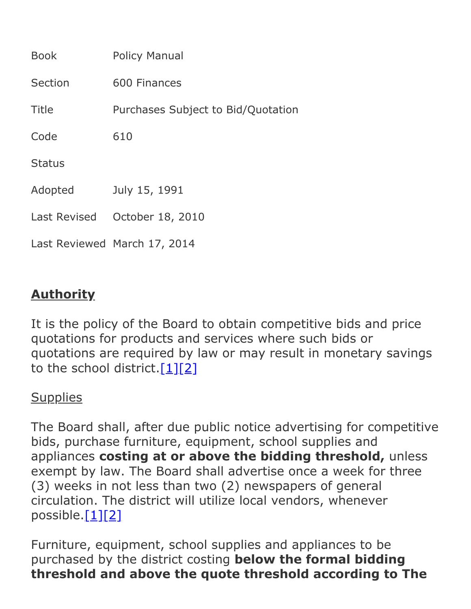| <b>Book</b>   | <b>Policy Manual</b>               |
|---------------|------------------------------------|
| Section       | 600 Finances                       |
| Title         | Purchases Subject to Bid/Quotation |
| Code          | 610                                |
| <b>Status</b> |                                    |
| Adopted       | July 15, 1991                      |
| Last Revised  | October 18, 2010                   |
|               | Last Reviewed March 17, 2014       |

## **Authority**

It is the policy of the Board to obtain competitive bids and price quotations for products and services where such bids or quotations are required by law or may result in monetary savings to the school district. $[1][2]$  $[1][2]$ 

### **Supplies**

The Board shall, after due public notice advertising for competitive bids, purchase furniture, equipment, school supplies and appliances **costing at or above the bidding threshold,** unless exempt by law. The Board shall advertise once a week for three (3) weeks in not less than two (2) newspapers of general circulation. The district will utilize local vendors, whenever possible. $[1][2]$  $[1][2]$ 

Furniture, equipment, school supplies and appliances to be purchased by the district costing **below the formal bidding threshold and above the quote threshold according to The**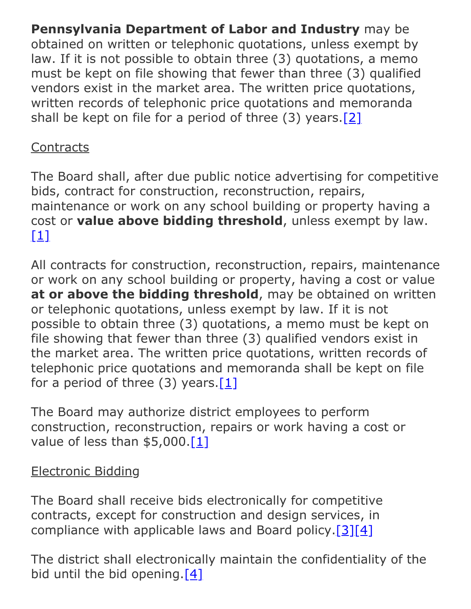**Pennsylvania Department of Labor and Industry** may be obtained on written or telephonic quotations, unless exempt by law. If it is not possible to obtain three (3) quotations, a memo must be kept on file showing that fewer than three (3) qualified vendors exist in the market area. The written price quotations, written records of telephonic price quotations and memoranda shall be kept on file for a period of three (3) years.[\[2\]](http://www.legis.state.pa.us/cfdocs/legis/LI/uconsCheck.cfm?txtType=HTM&yr=1949&sessInd=0&smthLwInd=0&act=14&chpt=8&sctn=7&subsctn=1)

## **Contracts**

The Board shall, after due public notice advertising for competitive bids, contract for construction, reconstruction, repairs, maintenance or work on any school building or property having a cost or **value above bidding threshold**, unless exempt by law.  $[1]$ 

All contracts for construction, reconstruction, repairs, maintenance or work on any school building or property, having a cost or value **at or above the bidding threshold**, may be obtained on written or telephonic quotations, unless exempt by law. If it is not possible to obtain three (3) quotations, a memo must be kept on file showing that fewer than three (3) qualified vendors exist in the market area. The written price quotations, written records of telephonic price quotations and memoranda shall be kept on file for a period of three  $(3)$  years.[\[1\]](http://www.legis.state.pa.us/cfdocs/legis/LI/uconsCheck.cfm?txtType=HTM&yr=1949&sessInd=0&smthLwInd=0&act=14&chpt=7&sctn=51&subsctn=0)

The Board may authorize district employees to perform construction, reconstruction, repairs or work having a cost or value of less than  $$5,000.[1]$  $$5,000.[1]$ 

# Electronic Bidding

The Board shall receive bids electronically for competitive contracts, except for construction and design services, in compliance with applicable laws and Board policy.[\[3\]](http://www.legis.state.pa.us/cfdocs/legis/LI/consCheck.cfm?txtType=HTM&ttl=62&div=0&chpt=46&sctn=2&subsctn=0)[\[4\]](http://www.legis.state.pa.us/cfdocs/legis/LI/consCheck.cfm?txtType=HTM&ttl=62&div=0&chpt=46&sctn=3&subsctn=0)

The district shall electronically maintain the confidentiality of the bid until the bid opening.[\[4\]](http://www.legis.state.pa.us/cfdocs/legis/LI/consCheck.cfm?txtType=HTM&ttl=62&div=0&chpt=46&sctn=3&subsctn=0)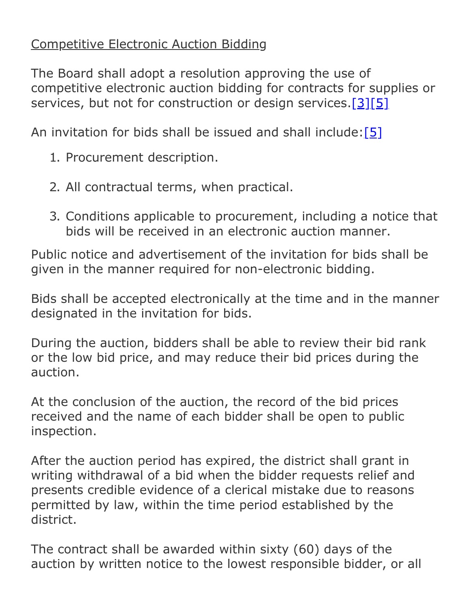### Competitive Electronic Auction Bidding

The Board shall adopt a resolution approving the use of competitive electronic auction bidding for contracts for supplies or services, but not for construction or design services.[\[3\]](http://www.legis.state.pa.us/cfdocs/legis/LI/consCheck.cfm?txtType=HTM&ttl=62&div=0&chpt=46&sctn=2&subsctn=0)[\[5\]](http://www.legis.state.pa.us/cfdocs/legis/LI/consCheck.cfm?txtType=HTM&ttl=62&div=0&chpt=46&sctn=4&subsctn=0)

An invitation for bids shall be issued and shall include:[\[5\]](http://www.legis.state.pa.us/cfdocs/legis/LI/consCheck.cfm?txtType=HTM&ttl=62&div=0&chpt=46&sctn=4&subsctn=0)

- 1. Procurement description.
- 2. All contractual terms, when practical.
- 3. Conditions applicable to procurement, including a notice that bids will be received in an electronic auction manner.

Public notice and advertisement of the invitation for bids shall be given in the manner required for non-electronic bidding.

Bids shall be accepted electronically at the time and in the manner designated in the invitation for bids.

During the auction, bidders shall be able to review their bid rank or the low bid price, and may reduce their bid prices during the auction.

At the conclusion of the auction, the record of the bid prices received and the name of each bidder shall be open to public inspection.

After the auction period has expired, the district shall grant in writing withdrawal of a bid when the bidder requests relief and presents credible evidence of a clerical mistake due to reasons permitted by law, within the time period established by the district.

The contract shall be awarded within sixty (60) days of the auction by written notice to the lowest responsible bidder, or all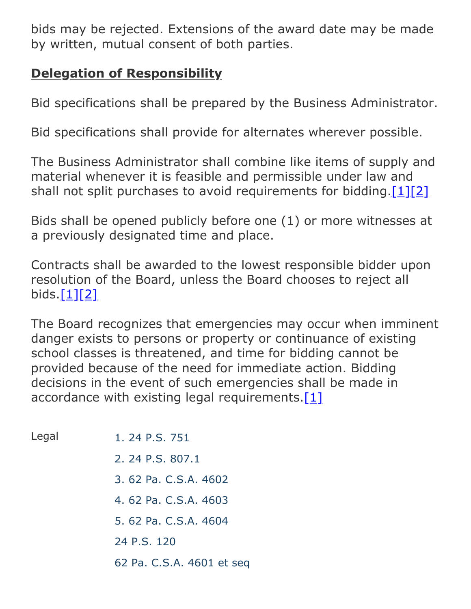bids may be rejected. Extensions of the award date may be made by written, mutual consent of both parties.

## **Delegation of Responsibility**

Bid specifications shall be prepared by the Business Administrator.

Bid specifications shall provide for alternates wherever possible.

The Business Administrator shall combine like items of supply and material whenever it is feasible and permissible under law and shall not split purchases to avoid requirements for bidding.  $[1][2]$  $[1][2]$ 

Bids shall be opened publicly before one (1) or more witnesses at a previously designated time and place.

Contracts shall be awarded to the lowest responsible bidder upon resolution of the Board, unless the Board chooses to reject all bids. $[1][2]$  $[1][2]$ 

The Board recognizes that emergencies may occur when imminent danger exists to persons or property or continuance of existing school classes is threatened, and time for bidding cannot be provided because of the need for immediate action. Bidding decisions in the event of such emergencies shall be made in accordance with existing legal requirements. $[1]$ 

| Legal | 1. 24 P.S. 751            |
|-------|---------------------------|
|       | 2. 24 P.S. 807.1          |
|       | 3. 62 Pa. C.S.A. 4602     |
|       | 4.62 Pa. C.S.A. 4603      |
|       | 5. 62 Pa. C.S.A. 4604     |
|       | 24 P.S. 120               |
|       | 62 Pa. C.S.A. 4601 et seq |
|       |                           |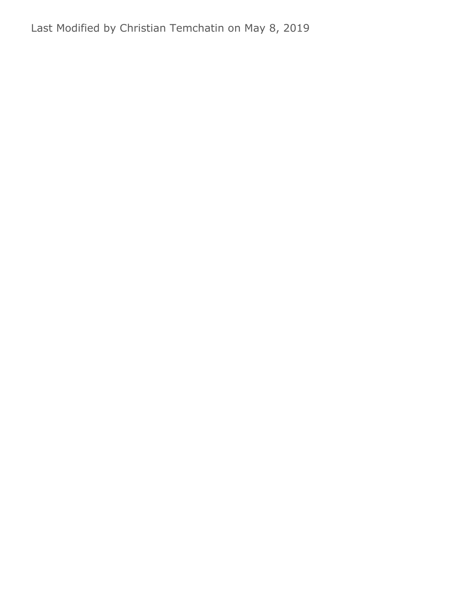Last Modified by Christian Temchatin on May 8, 2019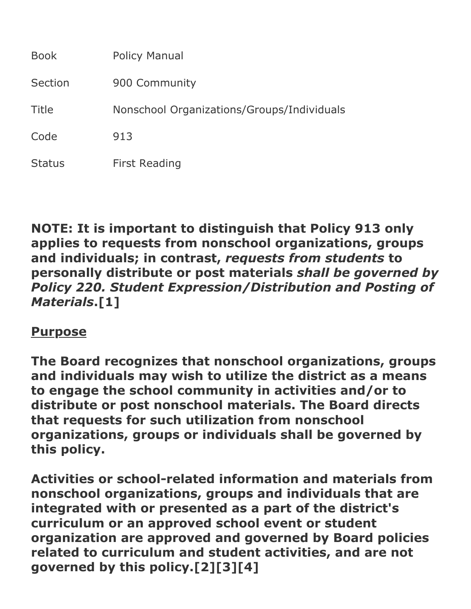| <b>Book</b>   | <b>Policy Manual</b>                       |
|---------------|--------------------------------------------|
| Section       | 900 Community                              |
| Title         | Nonschool Organizations/Groups/Individuals |
| Code          | 913                                        |
| <b>Status</b> | <b>First Reading</b>                       |

**NOTE: It is important to distinguish that Policy 913 only applies to requests from nonschool organizations, groups and individuals; in contrast,** *requests from students* **to personally distribute or post materials** *shall be governed by Policy 220. Student Expression/Distribution and Posting of Materials***.[1]**

### **Purpose**

**The Board recognizes that nonschool organizations, groups and individuals may wish to utilize the district as a means to engage the school community in activities and/or to distribute or post nonschool materials. The Board directs that requests for such utilization from nonschool organizations, groups or individuals shall be governed by this policy.**

Activities or school-related information and materials from **nonschool organizations, groups and individuals that are integrated with or presented as a part of the district's curriculum or an approved school event or student organization are approved and governed by Board policies related to curriculum and student activities, and are not governed by this policy.[2][3][4]**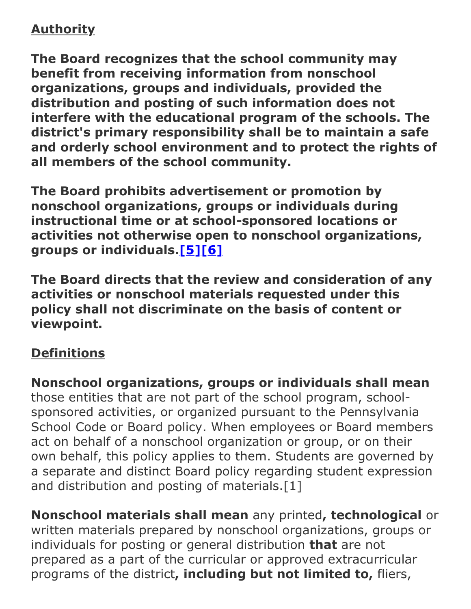# **Authority**

**The Board recognizes that the school community may benefit from receiving information from nonschool organizations, groups and individuals, provided the distribution and posting of such information does not interfere with the educational program of the schools. The district's primary responsibility shall be to maintain a safe and orderly school environment and to protect the rights of all members of the school community.**

**The Board prohibits advertisement or promotion by nonschool organizations, groups or individuals during instructional time or at school-sponsored locations or activities not otherwise open to nonschool organizations, groups or individuals.[\[5\]](http://www.legis.state.pa.us/cfdocs/legis/LI/uconsCheck.cfm?txtType=HTM&yr=1949&sessInd=0&smthLwInd=0&act=14&chpt=5&sctn=10&subsctn=0)[\[6\]](http://www.legis.state.pa.us/cfdocs/legis/LI/uconsCheck.cfm?txtType=HTM&yr=1949&sessInd=0&smthLwInd=0&act=14&chpt=5&sctn=11&subsctn=0)**

**The Board directs that the review and consideration of any activities or nonschool materials requested under this policy shall not discriminate on the basis of content or viewpoint.**

### **Definitions**

**Nonschool organizations, groups or individuals shall mean** those entities that are not part of the school program, schoolsponsored activities, or organized pursuant to the Pennsylvania School Code or Board policy. When employees or Board members act on behalf of a nonschool organization or group, or on their own behalf, this policy applies to them. Students are governed by a separate and distinct Board policy regarding student expression and distribution and posting of materials.[1]

**Nonschool materials shall mean** any printed**, technological** or written materials prepared by nonschool organizations, groups or individuals for posting or general distribution **that** are not prepared as a part of the curricular or approved extracurricular programs of the district**, including but not limited to,** fliers,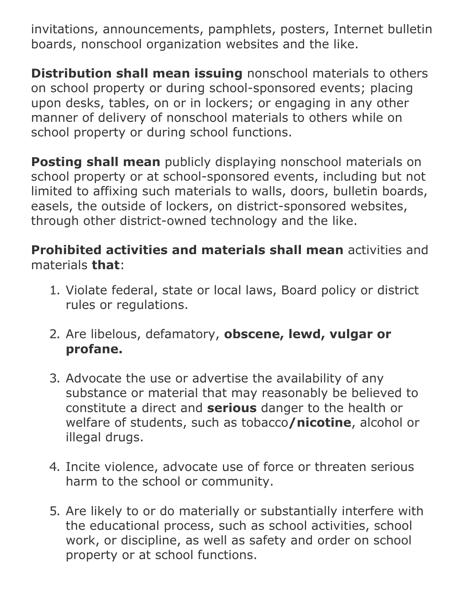invitations, announcements, pamphlets, posters, Internet bulletin boards, nonschool organization websites and the like.

**Distribution shall mean issuing** nonschool materials to others on school property or during school-sponsored events; placing upon desks, tables, on or in lockers; or engaging in any other manner of delivery of nonschool materials to others while on school property or during school functions.

**Posting shall mean** publicly displaying nonschool materials on school property or at school-sponsored events, including but not limited to affixing such materials to walls, doors, bulletin boards, easels, the outside of lockers, on district-sponsored websites, through other district-owned technology and the like.

#### **Prohibited activities and materials shall mean** activities and materials **that**:

- 1. Violate federal, state or local laws, Board policy or district rules or regulations.
- 2. Are libelous, defamatory, **obscene, lewd, vulgar or profane.**
- 3. Advocate the use or advertise the availability of any substance or material that may reasonably be believed to constitute a direct and **serious** danger to the health or welfare of students, such as tobacco**/nicotine**, alcohol or illegal drugs.
- 4. Incite violence, advocate use of force or threaten serious harm to the school or community.
- 5. Are likely to or do materially or substantially interfere with the educational process, such as school activities, school work, or discipline, as well as safety and order on school property or at school functions.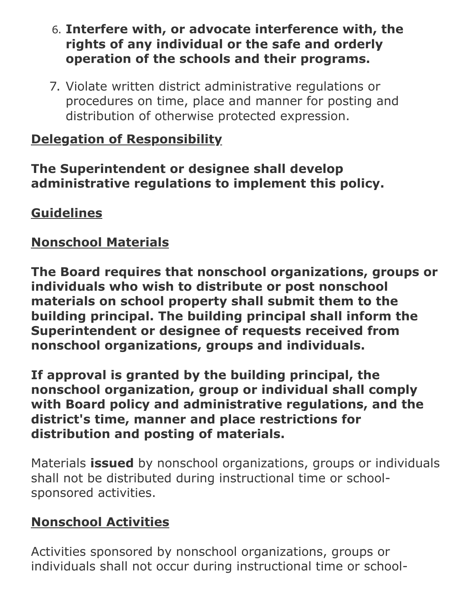- 6. **Interfere with, or advocate interference with, the rights of any individual or the safe and orderly operation of the schools and their programs.**
- 7. Violate written district administrative regulations or procedures on time, place and manner for posting and distribution of otherwise protected expression.

## **Delegation of Responsibility**

#### **The Superintendent or designee shall develop administrative regulations to implement this policy.**

## **Guidelines**

## **Nonschool Materials**

**The Board requires that nonschool organizations, groups or individuals who wish to distribute or post nonschool materials on school property shall submit them to the building principal. The building principal shall inform the Superintendent or designee of requests received from nonschool organizations, groups and individuals.**

**If approval is granted by the building principal, the nonschool organization, group or individual shall comply with Board policy and administrative regulations, and the district's time, manner and place restrictions for distribution and posting of materials.**

Materials **issued** by nonschool organizations, groups or individuals shall not be distributed during instructional time or schoolsponsored activities.

# **Nonschool Activities**

Activities sponsored by nonschool organizations, groups or individuals shall not occur during instructional time or school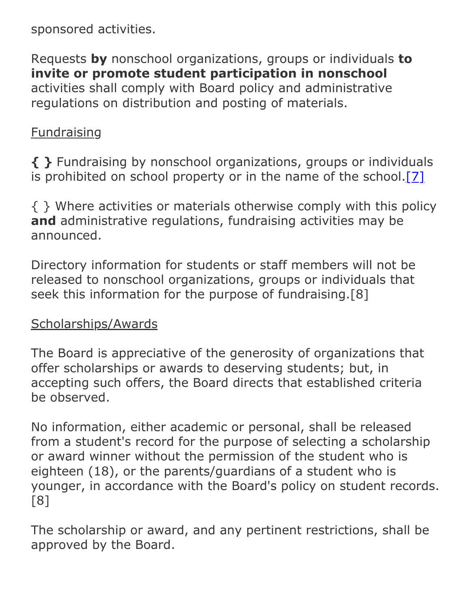sponsored activities.

Requests **by** nonschool organizations, groups or individuals **to invite or promote student participation in nonschool** activities shall comply with Board policy and administrative regulations on distribution and posting of materials.

#### **Fundraising**

**{ }** Fundraising by nonschool organizations, groups or individuals is prohibited on school property or in the name of the school. $[7]$ 

{ } Where activities or materials otherwise comply with this policy **and** administrative regulations, fundraising activities may be announced.

Directory information for students or staff members will not be released to nonschool organizations, groups or individuals that seek this information for the purpose of fundraising.[8]

### Scholarships/Awards

The Board is appreciative of the generosity of organizations that offer scholarships or awards to deserving students; but, in accepting such offers, the Board directs that established criteria be observed.

No information, either academic or personal, shall be released from a student's record for the purpose of selecting a scholarship or award winner without the permission of the student who is eighteen (18), or the parents/guardians of a student who is younger, in accordance with the Board's policy on student records. [8]

The scholarship or award, and any pertinent restrictions, shall be approved by the Board.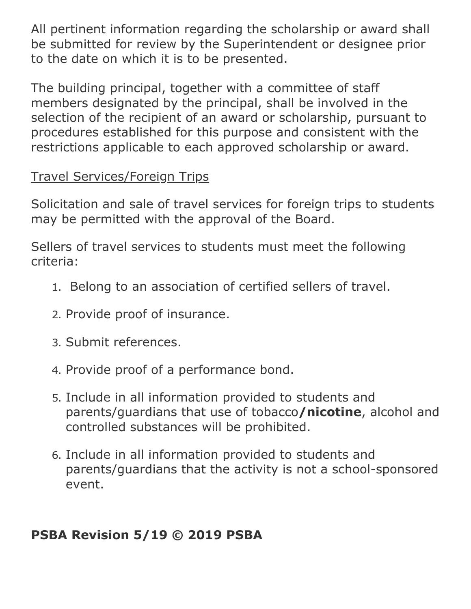All pertinent information regarding the scholarship or award shall be submitted for review by the Superintendent or designee prior to the date on which it is to be presented.

The building principal, together with a committee of staff members designated by the principal, shall be involved in the selection of the recipient of an award or scholarship, pursuant to procedures established for this purpose and consistent with the restrictions applicable to each approved scholarship or award.

## Travel Services/Foreign Trips

Solicitation and sale of travel services for foreign trips to students may be permitted with the approval of the Board.

Sellers of travel services to students must meet the following criteria:

- 1. Belong to an association of certified sellers of travel.
- 2. Provide proof of insurance.
- 3. Submit references.
- 4. Provide proof of a performance bond.
- 5. Include in all information provided to students and parents/guardians that use of tobacco**/nicotine**, alcohol and controlled substances will be prohibited.
- 6. Include in all information provided to students and parents/guardians that the activity is not a school-sponsored event.

# **PSBA Revision 5/19 © 2019 PSBA**